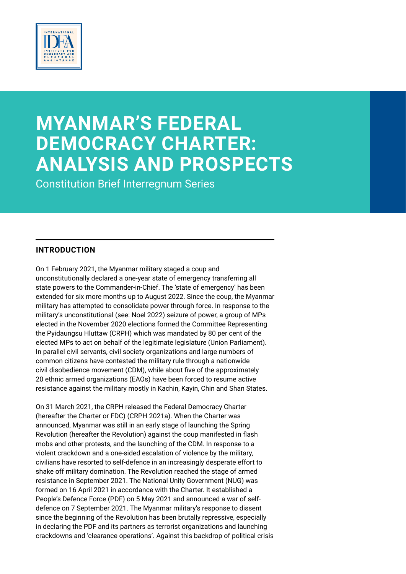

# **MYANMAR'S FEDERAL DEMOCRACY CHARTER: ANALYSIS AND PROSPECTS**

Constitution Brief Interregnum Series

## **INTRODUCTION**

On 1 February 2021, the Myanmar military staged a coup and unconstitutionally declared a one-year state of emergency transferring all state powers to the Commander-in-Chief. The 'state of emergency' has been extended for six more months up to August 2022. Since the coup, the Myanmar military has attempted to consolidate power through force. In response to the military's unconstitutional (see: Noel 2022) seizure of power, a group of MPs elected in the November 2020 elections formed the Committee Representing the Pyidaungsu Hluttaw (CRPH) which was mandated by 80 per cent of the elected MPs to act on behalf of the legitimate legislature (Union Parliament). In parallel civil servants, civil society organizations and large numbers of common citizens have contested the military rule through a nationwide civil disobedience movement (CDM), while about five of the approximately 20 ethnic armed organizations (EAOs) have been forced to resume active resistance against the military mostly in Kachin, Kayin, Chin and Shan States.

On 31 March 2021, the CRPH released the Federal Democracy Charter (hereafter the Charter or FDC) (CRPH 2021a). When the Charter was announced, Myanmar was still in an early stage of launching the Spring Revolution (hereafter the Revolution) against the coup manifested in flash mobs and other protests, and the launching of the CDM. In response to a violent crackdown and a one-sided escalation of violence by the military, civilians have resorted to self-defence in an increasingly desperate effort to shake off military domination. The Revolution reached the stage of armed resistance in September 2021. The National Unity Government (NUG) was formed on 16 April 2021 in accordance with the Charter. It established a People's Defence Force (PDF) on 5 May 2021 and announced a war of selfdefence on 7 September 2021. The Myanmar military's response to dissent since the beginning of the Revolution has been brutally repressive, especially in declaring the PDF and its partners as terrorist organizations and launching crackdowns and 'clearance operations'. Against this backdrop of political crisis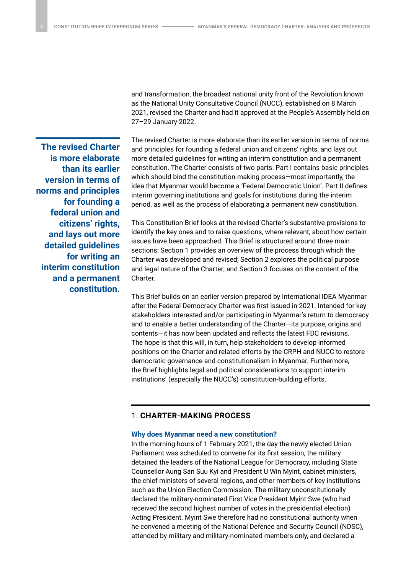**The revised Charter is more elaborate than its earlier version in terms of norms and principles for founding a federal union and citizens' rights, and lays out more detailed guidelines for writing an interim constitution and a permanent constitution.** and transformation, the broadest national unity front of the Revolution known as the National Unity Consultative Council (NUCC), established on 8 March 2021, revised the Charter and had it approved at the People's Assembly held on 27–29 January 2022.

The revised Charter is more elaborate than its earlier version in terms of norms and principles for founding a federal union and citizens' rights, and lays out more detailed guidelines for writing an interim constitution and a permanent constitution. The Charter consists of two parts. Part I contains basic principles which should bind the constitution-making process—most importantly, the idea that Myanmar would become a 'Federal Democratic Union'. Part II defines interim governing institutions and goals for institutions during the interim period, as well as the process of elaborating a permanent new constitution.

This Constitution Brief looks at the revised Charter's substantive provisions to identify the key ones and to raise questions, where relevant, about how certain issues have been approached. This Brief is structured around three main sections: Section 1 provides an overview of the process through which the Charter was developed and revised; Section 2 explores the political purpose and legal nature of the Charter; and Section 3 focuses on the content of the Charter.

This Brief builds on an earlier version prepared by International IDEA Myanmar after the Federal Democracy Charter was first issued in 2021. Intended for key stakeholders interested and/or participating in Myanmar's return to democracy and to enable a better understanding of the Charter—its purpose, origins and contents—it has now been updated and reflects the latest FDC revisions. The hope is that this will, in turn, help stakeholders to develop informed positions on the Charter and related efforts by the CRPH and NUCC to restore democratic governance and constitutionalism in Myanmar. Furthermore, the Brief highlights legal and political considerations to support interim institutions' (especially the NUCC's) constitution-building efforts.

## 1. **CHARTER-MAKING PROCESS**

#### **Why does Myanmar need a new constitution?**

In the morning hours of 1 February 2021, the day the newly elected Union Parliament was scheduled to convene for its first session, the military detained the leaders of the National League for Democracy, including State Counsellor Aung San Suu Kyi and President U Win Myint, cabinet ministers, the chief ministers of several regions, and other members of key institutions such as the Union Election Commission. The military unconstitutionally declared the military-nominated First Vice President Myint Swe (who had received the second highest number of votes in the presidential election) Acting President. Myint Swe therefore had no constitutional authority when he convened a meeting of the National Defence and Security Council (NDSC), attended by military and military-nominated members only, and declared a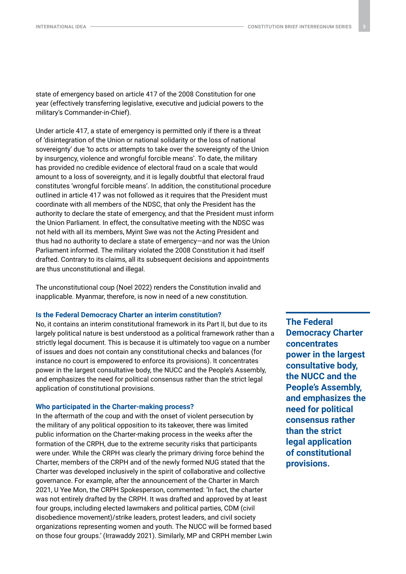state of emergency based on article 417 of the 2008 Constitution for one year (effectively transferring legislative, executive and judicial powers to the military's Commander-in-Chief).

Under article 417, a state of emergency is permitted only if there is a threat of 'disintegration of the Union or national solidarity or the loss of national sovereignty' due 'to acts or attempts to take over the sovereignty of the Union by insurgency, violence and wrongful forcible means'. To date, the military has provided no credible evidence of electoral fraud on a scale that would amount to a loss of sovereignty, and it is legally doubtful that electoral fraud constitutes 'wrongful forcible means'. In addition, the constitutional procedure outlined in article 417 was not followed as it requires that the President must coordinate with all members of the NDSC, that only the President has the authority to declare the state of emergency, and that the President must inform the Union Parliament. In effect, the consultative meeting with the NDSC was not held with all its members, Myint Swe was not the Acting President and thus had no authority to declare a state of emergency—and nor was the Union Parliament informed. The military violated the 2008 Constitution it had itself drafted. Contrary to its claims, all its subsequent decisions and appointments are thus unconstitutional and illegal.

The unconstitutional coup (Noel 2022) renders the Constitution invalid and inapplicable. Myanmar, therefore, is now in need of a new constitution.

#### **Is the Federal Democracy Charter an interim constitution?**

No, it contains an interim constitutional framework in its Part II, but due to its largely political nature is best understood as a political framework rather than a strictly legal document. This is because it is ultimately too vague on a number of issues and does not contain any constitutional checks and balances (for instance no court is empowered to enforce its provisions). It concentrates power in the largest consultative body, the NUCC and the People's Assembly, and emphasizes the need for political consensus rather than the strict legal application of constitutional provisions.

#### **Who participated in the Charter-making process?**

In the aftermath of the coup and with the onset of violent persecution by the military of any political opposition to its takeover, there was limited public information on the Charter-making process in the weeks after the formation of the CRPH, due to the extreme security risks that participants were under. While the CRPH was clearly the primary driving force behind the Charter, members of the CRPH and of the newly formed NUG stated that the Charter was developed inclusively in the spirit of collaborative and collective governance. For example, after the announcement of the Charter in March 2021, U Yee Mon, the CRPH Spokesperson, commented: 'In fact, the charter was not entirely drafted by the CRPH. It was drafted and approved by at least four groups, including elected lawmakers and political parties, CDM (civil disobedience movement)/strike leaders, protest leaders, and civil society organizations representing women and youth. The NUCC will be formed based on those four groups.' (Irrawaddy 2021). Similarly, MP and CRPH member Lwin **The Federal Democracy Charter concentrates power in the largest consultative body, the NUCC and the People's Assembly, and emphasizes the need for political consensus rather than the strict legal application of constitutional provisions.**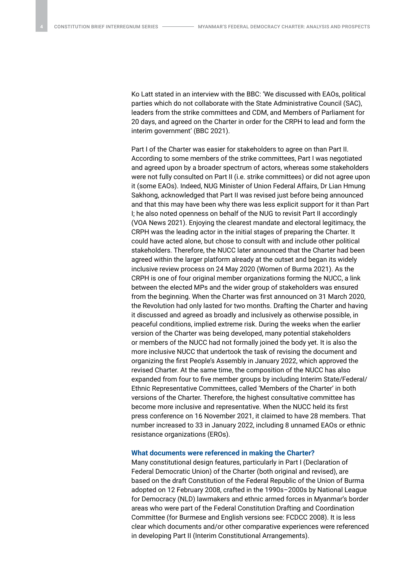Ko Latt stated in an interview with the BBC: 'We discussed with EAOs, political parties which do not collaborate with the State Administrative Council (SAC), leaders from the strike committees and CDM, and Members of Parliament for 20 days, and agreed on the Charter in order for the CRPH to lead and form the interim government' (BBC 2021).

Part I of the Charter was easier for stakeholders to agree on than Part II. According to some members of the strike committees, Part I was negotiated and agreed upon by a broader spectrum of actors, whereas some stakeholders were not fully consulted on Part II (i.e. strike committees) or did not agree upon it (some EAOs). Indeed, NUG Minister of Union Federal Affairs, Dr Lian Hmung Sakhong, acknowledged that Part II was revised just before being announced and that this may have been why there was less explicit support for it than Part I; he also noted openness on behalf of the NUG to revisit Part II accordingly (VOA News 2021). Enjoying the clearest mandate and electoral legitimacy, the CRPH was the leading actor in the initial stages of preparing the Charter. It could have acted alone, but chose to consult with and include other political stakeholders. Therefore, the NUCC later announced that the Charter had been agreed within the larger platform already at the outset and began its widely inclusive review process on 24 May 2020 (Women of Burma 2021). As the CRPH is one of four original member organizations forming the NUCC, a link between the elected MPs and the wider group of stakeholders was ensured from the beginning. When the Charter was first announced on 31 March 2020, the Revolution had only lasted for two months. Drafting the Charter and having it discussed and agreed as broadly and inclusively as otherwise possible, in peaceful conditions, implied extreme risk. During the weeks when the earlier version of the Charter was being developed, many potential stakeholders or members of the NUCC had not formally joined the body yet. It is also the more inclusive NUCC that undertook the task of revising the document and organizing the first People's Assembly in January 2022, which approved the revised Charter. At the same time, the composition of the NUCC has also expanded from four to five member groups by including Interim State/Federal/ Ethnic Representative Committees, called 'Members of the Charter' in both versions of the Charter. Therefore, the highest consultative committee has become more inclusive and representative. When the NUCC held its first press conference on 16 November 2021, it claimed to have 28 members. That number increased to 33 in January 2022, including 8 unnamed EAOs or ethnic resistance organizations (EROs).

## **What documents were referenced in making the Charter?**

Many constitutional design features, particularly in Part I (Declaration of Federal Democratic Union) of the Charter (both original and revised), are based on the draft Constitution of the Federal Republic of the Union of Burma adopted on 12 February 2008, crafted in the 1990s–2000s by National League for Democracy (NLD) lawmakers and ethnic armed forces in Myanmar's border areas who were part of the Federal Constitution Drafting and Coordination Committee (for Burmese and English versions see: FCDCC 2008). It is less clear which documents and/or other comparative experiences were referenced in developing Part II (Interim Constitutional Arrangements).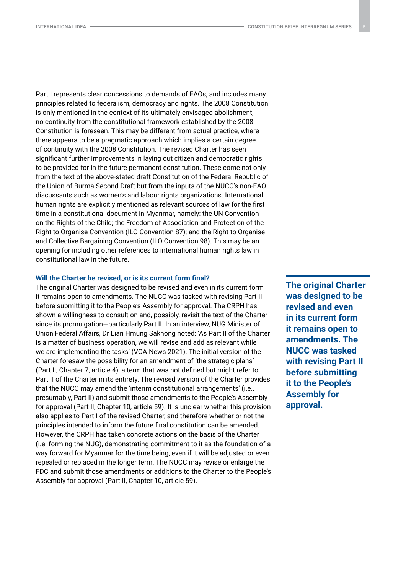Part I represents clear concessions to demands of EAOs, and includes many principles related to federalism, democracy and rights. The 2008 Constitution is only mentioned in the context of its ultimately envisaged abolishment; no continuity from the constitutional framework established by the 2008 Constitution is foreseen. This may be different from actual practice, where there appears to be a pragmatic approach which implies a certain degree of continuity with the 2008 Constitution. The revised Charter has seen significant further improvements in laying out citizen and democratic rights to be provided for in the future permanent constitution. These come not only from the text of the above-stated draft Constitution of the Federal Republic of the Union of Burma Second Draft but from the inputs of the NUCC's non-EAO discussants such as women's and labour rights organizations. International human rights are explicitly mentioned as relevant sources of law for the first time in a constitutional document in Myanmar, namely: the UN Convention on the Rights of the Child; the Freedom of Association and Protection of the Right to Organise Convention (ILO Convention 87); and the Right to Organise and Collective Bargaining Convention (ILO Convention 98). This may be an opening for including other references to international human rights law in constitutional law in the future.

#### **Will the Charter be revised, or is its current form final?**

The original Charter was designed to be revised and even in its current form it remains open to amendments. The NUCC was tasked with revising Part II before submitting it to the People's Assembly for approval. The CRPH has shown a willingness to consult on and, possibly, revisit the text of the Charter since its promulgation—particularly Part II. In an interview, NUG Minister of Union Federal Affairs, Dr Lian Hmung Sakhong noted: 'As Part II of the Charter is a matter of business operation, we will revise and add as relevant while we are implementing the tasks' (VOA News 2021). The initial version of the Charter foresaw the possibility for an amendment of 'the strategic plans' (Part II, Chapter 7, article 4), a term that was not defined but might refer to Part II of the Charter in its entirety. The revised version of the Charter provides that the NUCC may amend the 'interim constitutional arrangements' (i.e., presumably, Part II) and submit those amendments to the People's Assembly for approval (Part II, Chapter 10, article 59). It is unclear whether this provision also applies to Part I of the revised Charter, and therefore whether or not the principles intended to inform the future final constitution can be amended. However, the CRPH has taken concrete actions on the basis of the Charter (i.e. forming the NUG), demonstrating commitment to it as the foundation of a way forward for Myanmar for the time being, even if it will be adjusted or even repealed or replaced in the longer term. The NUCC may revise or enlarge the FDC and submit those amendments or additions to the Charter to the People's Assembly for approval (Part II, Chapter 10, article 59).

**The original Charter was designed to be revised and even in its current form it remains open to amendments. The NUCC was tasked with revising Part II before submitting it to the People's Assembly for approval.**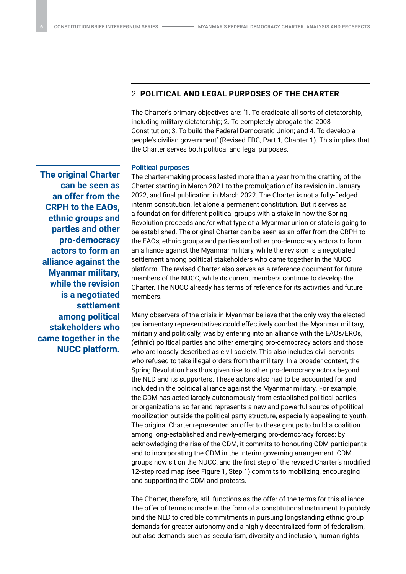## 2. **POLITICAL AND LEGAL PURPOSES OF THE CHARTER**

The Charter's primary objectives are: '1. To eradicate all sorts of dictatorship, including military dictatorship; 2. To completely abrogate the 2008 Constitution; 3. To build the Federal Democratic Union; and 4. To develop a people's civilian government' (Revised FDC, Part 1, Chapter 1). This implies that the Charter serves both political and legal purposes.

## **Political purposes**

**The original Charter can be seen as an offer from the CRPH to the EAOs, ethnic groups and parties and other pro-democracy actors to form an alliance against the Myanmar military, while the revision is a negotiated settlement among political stakeholders who came together in the NUCC platform.**

The charter-making process lasted more than a year from the drafting of the Charter starting in March 2021 to the promulgation of its revision in January 2022, and final publication in March 2022. The Charter is not a fully-fledged interim constitution, let alone a permanent constitution. But it serves as a foundation for different political groups with a stake in how the Spring Revolution proceeds and/or what type of a Myanmar union or state is going to be established. The original Charter can be seen as an offer from the CRPH to the EAOs, ethnic groups and parties and other pro-democracy actors to form an alliance against the Myanmar military, while the revision is a negotiated settlement among political stakeholders who came together in the NUCC platform. The revised Charter also serves as a reference document for future members of the NUCC, while its current members continue to develop the Charter. The NUCC already has terms of reference for its activities and future members.

Many observers of the crisis in Myanmar believe that the only way the elected parliamentary representatives could effectively combat the Myanmar military, militarily and politically, was by entering into an alliance with the EAOs/EROs, (ethnic) political parties and other emerging pro-democracy actors and those who are loosely described as civil society. This also includes civil servants who refused to take illegal orders from the military. In a broader context, the Spring Revolution has thus given rise to other pro-democracy actors beyond the NLD and its supporters. These actors also had to be accounted for and included in the political alliance against the Myanmar military. For example, the CDM has acted largely autonomously from established political parties or organizations so far and represents a new and powerful source of political mobilization outside the political party structure, especially appealing to youth. The original Charter represented an offer to these groups to build a coalition among long-established and newly-emerging pro-democracy forces: by acknowledging the rise of the CDM, it commits to honouring CDM participants and to incorporating the CDM in the interim governing arrangement. CDM groups now sit on the NUCC, and the first step of the revised Charter's modified 12-step road map (see Figure 1, Step 1) commits to mobilizing, encouraging and supporting the CDM and protests.

The Charter, therefore, still functions as the offer of the terms for this alliance. The offer of terms is made in the form of a constitutional instrument to publicly bind the NLD to credible commitments in pursuing longstanding ethnic group demands for greater autonomy and a highly decentralized form of federalism, but also demands such as secularism, diversity and inclusion, human rights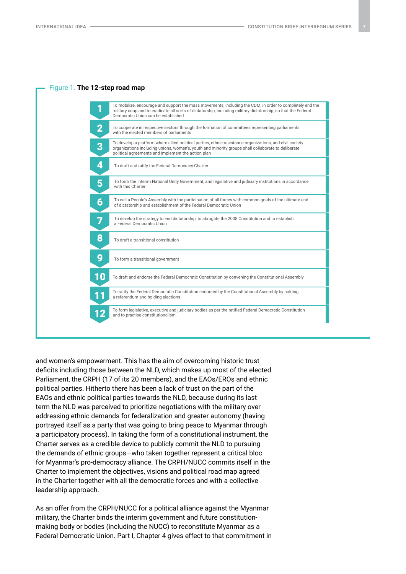

and women's empowerment. This has the aim of overcoming historic trust deficits including those between the NLD, which makes up most of the elected Parliament, the CRPH (17 of its 20 members), and the EAOs/EROs and ethnic political parties. Hitherto there has been a lack of trust on the part of the EAOs and ethnic political parties towards the NLD, because during its last term the NLD was perceived to prioritize negotiations with the military over addressing ethnic demands for federalization and greater autonomy (having portrayed itself as a party that was going to bring peace to Myanmar through a participatory process). In taking the form of a constitutional instrument, the Charter serves as a credible device to publicly commit the NLD to pursuing the demands of ethnic groups—who taken together represent a critical bloc for Myanmar's pro-democracy alliance. The CRPH/NUCC commits itself in the Charter to implement the objectives, visions and political road map agreed in the Charter together with all the democratic forces and with a collective leadership approach.

As an offer from the CRPH/NUCC for a political alliance against the Myanmar military, the Charter binds the interim government and future constitutionmaking body or bodies (including the NUCC) to reconstitute Myanmar as a Federal Democratic Union. Part I, Chapter 4 gives effect to that commitment in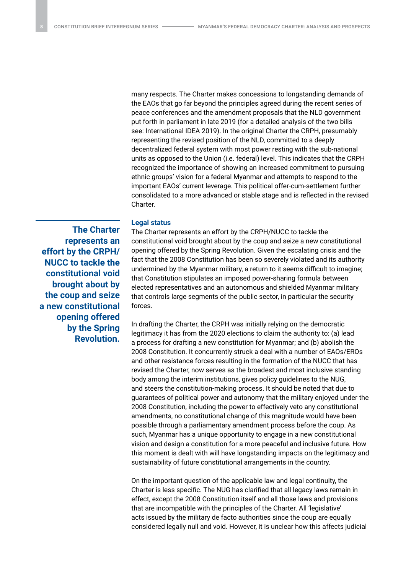many respects. The Charter makes concessions to longstanding demands of the EAOs that go far beyond the principles agreed during the recent series of peace conferences and the amendment proposals that the NLD government put forth in parliament in late 2019 (for a detailed analysis of the two bills see: International IDEA 2019). In the original Charter the CRPH, presumably representing the revised position of the NLD, committed to a deeply decentralized federal system with most power resting with the sub-national units as opposed to the Union (i.e. federal) level. This indicates that the CRPH recognized the importance of showing an increased commitment to pursuing ethnic groups' vision for a federal Myanmar and attempts to respond to the important EAOs' current leverage. This political offer-cum-settlement further consolidated to a more advanced or stable stage and is reflected in the revised Charter.

## **Legal status**

**The Charter represents an effort by the CRPH/ NUCC to tackle the constitutional void brought about by the coup and seize a new constitutional opening offered by the Spring Revolution.**

The Charter represents an effort by the CRPH/NUCC to tackle the constitutional void brought about by the coup and seize a new constitutional opening offered by the Spring Revolution. Given the escalating crisis and the fact that the 2008 Constitution has been so severely violated and its authority undermined by the Myanmar military, a return to it seems difficult to imagine; that Constitution stipulates an imposed power-sharing formula between elected representatives and an autonomous and shielded Myanmar military that controls large segments of the public sector, in particular the security forces.

In drafting the Charter, the CRPH was initially relying on the democratic legitimacy it has from the 2020 elections to claim the authority to: (a) lead a process for drafting a new constitution for Myanmar; and (b) abolish the 2008 Constitution. It concurrently struck a deal with a number of EAOs/EROs and other resistance forces resulting in the formation of the NUCC that has revised the Charter, now serves as the broadest and most inclusive standing body among the interim institutions, gives policy guidelines to the NUG, and steers the constitution-making process. It should be noted that due to guarantees of political power and autonomy that the military enjoyed under the 2008 Constitution, including the power to effectively veto any constitutional amendments, no constitutional change of this magnitude would have been possible through a parliamentary amendment process before the coup. As such, Myanmar has a unique opportunity to engage in a new constitutional vision and design a constitution for a more peaceful and inclusive future. How this moment is dealt with will have longstanding impacts on the legitimacy and sustainability of future constitutional arrangements in the country.

On the important question of the applicable law and legal continuity, the Charter is less specific. The NUG has clarified that all legacy laws remain in effect, except the 2008 Constitution itself and all those laws and provisions that are incompatible with the principles of the Charter. All 'legislative' acts issued by the military de facto authorities since the coup are equally considered legally null and void. However, it is unclear how this affects judicial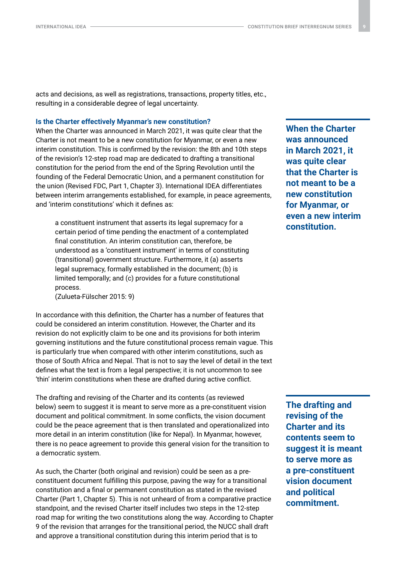acts and decisions, as well as registrations, transactions, property titles, etc., resulting in a considerable degree of legal uncertainty.

#### **Is the Charter effectively Myanmar's new constitution?**

When the Charter was announced in March 2021, it was quite clear that the Charter is not meant to be a new constitution for Myanmar, or even a new interim constitution. This is confirmed by the revision: the 8th and 10th steps of the revision's 12-step road map are dedicated to drafting a transitional constitution for the period from the end of the Spring Revolution until the founding of the Federal Democratic Union, and a permanent constitution for the union (Revised FDC, Part 1, Chapter 3). International IDEA differentiates between interim arrangements established, for example, in peace agreements, and 'interim constitutions' which it defines as:

a constituent instrument that asserts its legal supremacy for a certain period of time pending the enactment of a contemplated final constitution. An interim constitution can, therefore, be understood as a 'constituent instrument' in terms of constituting (transitional) government structure. Furthermore, it (a) asserts legal supremacy, formally established in the document; (b) is limited temporally; and (c) provides for a future constitutional process.

(Zulueta-Fülscher 2015: 9)

In accordance with this definition, the Charter has a number of features that could be considered an interim constitution. However, the Charter and its revision do not explicitly claim to be one and its provisions for both interim governing institutions and the future constitutional process remain vague. This is particularly true when compared with other interim constitutions, such as those of South Africa and Nepal. That is not to say the level of detail in the text defines what the text is from a legal perspective; it is not uncommon to see 'thin' interim constitutions when these are drafted during active conflict.

The drafting and revising of the Charter and its contents (as reviewed below) seem to suggest it is meant to serve more as a pre-constituent vision document and political commitment. In some conflicts, the vision document could be the peace agreement that is then translated and operationalized into more detail in an interim constitution (like for Nepal). In Myanmar, however, there is no peace agreement to provide this general vision for the transition to a democratic system.

As such, the Charter (both original and revision) could be seen as a preconstituent document fulfilling this purpose, paving the way for a transitional constitution and a final or permanent constitution as stated in the revised Charter (Part 1, Chapter 5). This is not unheard of from a comparative practice standpoint, and the revised Charter itself includes two steps in the 12-step road map for writing the two constitutions along the way. According to Chapter 9 of the revision that arranges for the transitional period, the NUCC shall draft and approve a transitional constitution during this interim period that is to

**When the Charter was announced in March 2021, it was quite clear that the Charter is not meant to be a new constitution for Myanmar, or even a new interim constitution.** 

**The drafting and revising of the Charter and its contents seem to suggest it is meant to serve more as a pre-constituent vision document and political commitment.**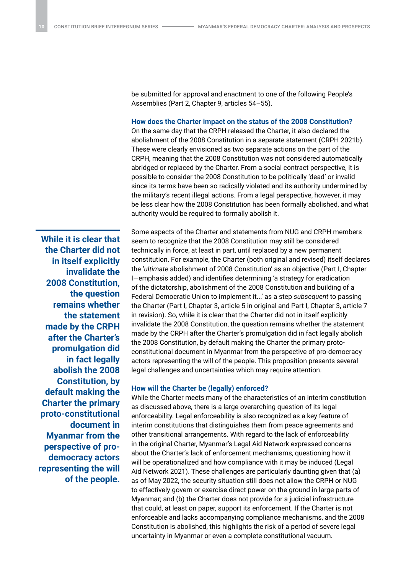be submitted for approval and enactment to one of the following People's Assemblies (Part 2, Chapter 9, articles 54–55).

#### **How does the Charter impact on the status of the 2008 Constitution?**

On the same day that the CRPH released the Charter, it also declared the abolishment of the 2008 Constitution in a separate statement (CRPH 2021b). These were clearly envisioned as two separate actions on the part of the CRPH, meaning that the 2008 Constitution was not considered automatically abridged or replaced by the Charter. From a social contract perspective, it is possible to consider the 2008 Constitution to be politically 'dead' or invalid since its terms have been so radically violated and its authority undermined by the military's recent illegal actions. From a legal perspective, however, it may be less clear how the 2008 Constitution has been formally abolished, and what authority would be required to formally abolish it.

**While it is clear that the Charter did not in itself explicitly invalidate the 2008 Constitution, the question remains whether the statement made by the CRPH after the Charter's promulgation did in fact legally abolish the 2008 Constitution, by default making the Charter the primary proto-constitutional document in Myanmar from the perspective of prodemocracy actors representing the will of the people.** Some aspects of the Charter and statements from NUG and CRPH members seem to recognize that the 2008 Constitution may still be considered technically in force, at least in part, until replaced by a new permanent constitution. For example, the Charter (both original and revised) itself declares the '*ultimate* abolishment of 2008 Constitution' as an objective (Part I, Chapter I—emphasis added) and identifies determining 'a strategy for eradication of the dictatorship, abolishment of the 2008 Constitution and building of a Federal Democratic Union to implement it...' as a step *subsequent* to passing the Charter (Part I, Chapter 3, article 5 in original and Part I, Chapter 3, article 7 in revision). So, while it is clear that the Charter did not in itself explicitly invalidate the 2008 Constitution, the question remains whether the statement made by the CRPH after the Charter's promulgation did in fact legally abolish the 2008 Constitution, by default making the Charter the primary protoconstitutional document in Myanmar from the perspective of pro-democracy actors representing the will of the people. This proposition presents several legal challenges and uncertainties which may require attention.

#### **How will the Charter be (legally) enforced?**

While the Charter meets many of the characteristics of an interim constitution as discussed above, there is a large overarching question of its legal enforceability. Legal enforceability is also recognized as a key feature of interim constitutions that distinguishes them from peace agreements and other transitional arrangements. With regard to the lack of enforceability in the original Charter, Myanmar's Legal Aid Network expressed concerns about the Charter's lack of enforcement mechanisms, questioning how it will be operationalized and how compliance with it may be induced (Legal Aid Network 2021). These challenges are particularly daunting given that (a) as of May 2022, the security situation still does not allow the CRPH or NUG to effectively govern or exercise direct power on the ground in large parts of Myanmar; and (b) the Charter does not provide for a judicial infrastructure that could, at least on paper, support its enforcement. If the Charter is not enforceable and lacks accompanying compliance mechanisms, and the 2008 Constitution is abolished, this highlights the risk of a period of severe legal uncertainty in Myanmar or even a complete constitutional vacuum.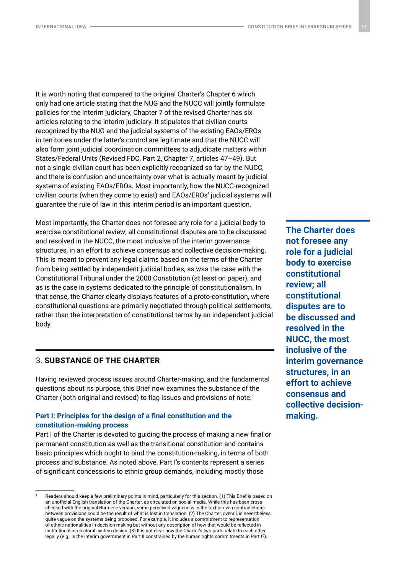It is worth noting that compared to the original Charter's Chapter 6 which only had one article stating that the NUG and the NUCC will jointly formulate policies for the interim judiciary, Chapter 7 of the revised Charter has six articles relating to the interim judiciary. It stipulates that civilian courts recognized by the NUG and the judicial systems of the existing EAOs/EROs in territories under the latter's control are legitimate and that the NUCC will also form joint judicial coordination committees to adjudicate matters within States/Federal Units (Revised FDC, Part 2, Chapter 7, articles 47–49). But not a single civilian court has been explicitly recognized so far by the NUCC, and there is confusion and uncertainty over what is actually meant by judicial systems of existing EAOs/EROs. Most importantly, how the NUCC-recognized civilian courts (when they come to exist) and EAOs/EROs' judicial systems will guarantee the rule of law in this interim period is an important question.

Most importantly, the Charter does not foresee any role for a judicial body to exercise constitutional review; all constitutional disputes are to be discussed and resolved in the NUCC, the most inclusive of the interim governance structures, in an effort to achieve consensus and collective decision-making. This is meant to prevent any legal claims based on the terms of the Charter from being settled by independent judicial bodies, as was the case with the Constitutional Tribunal under the 2008 Constitution (at least on paper), and as is the case in systems dedicated to the principle of constitutionalism. In that sense, the Charter clearly displays features of a proto-constitution, where constitutional questions are primarily negotiated through political settlements, rather than the interpretation of constitutional terms by an independent judicial body.

## 3. **SUBSTANCE OF THE CHARTER**

Having reviewed process issues around Charter-making, and the fundamental questions about its purpose, this Brief now examines the substance of the Charter (both original and revised) to flag issues and provisions of note.<sup>1</sup>

## **Part I: Principles for the design of a final constitution and the constitution-making process**

Part I of the Charter is devoted to guiding the process of making a new final or permanent constitution as well as the transitional constitution and contains basic principles which ought to bind the constitution-making, in terms of both process and substance. As noted above, Part I's contents represent a series of significant concessions to ethnic group demands, including mostly those

**The Charter does not foresee any role for a judicial body to exercise constitutional review; all constitutional disputes are to be discussed and resolved in the NUCC, the most inclusive of the interim governance structures, in an effort to achieve consensus and collective decisionmaking.**

Readers should keep a few preliminary points in mind, particularly for this section. (1) This Brief is based on an unofficial English translation of the Charter, as circulated on social media. While this has been crosschecked with the original Burmese version, some perceived vagueness in the text or even contradictions between provisions could be the result of what is lost in translation. (2) The Charter, overall, is nevertheless quite vague on the systems being proposed. For example, it includes a commitment to representation of ethnic nationalities in decision making but without any description of how that would be reflected in institutional or electoral system design. (3) It is not clear how the Charter's two parts relate to each other legally (e.g., is the interim government in Part II constrained by the human rights commitments in Part I?).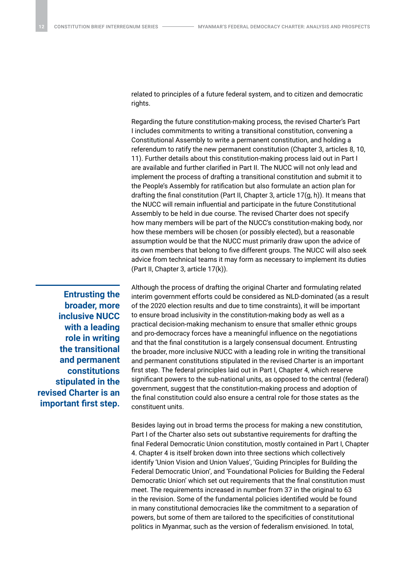related to principles of a future federal system, and to citizen and democratic rights.

Regarding the future constitution-making process, the revised Charter's Part I includes commitments to writing a transitional constitution, convening a Constitutional Assembly to write a permanent constitution, and holding a referendum to ratify the new permanent constitution (Chapter 3, articles 8, 10, 11). Further details about this constitution-making process laid out in Part I are available and further clarified in Part II. The NUCC will not only lead and implement the process of drafting a transitional constitution and submit it to the People's Assembly for ratification but also formulate an action plan for drafting the final constitution (Part II, Chapter 3, article 17(g, h)). It means that the NUCC will remain influential and participate in the future Constitutional Assembly to be held in due course. The revised Charter does not specify how many members will be part of the NUCC's constitution-making body, nor how these members will be chosen (or possibly elected), but a reasonable assumption would be that the NUCC must primarily draw upon the advice of its own members that belong to five different groups. The NUCC will also seek advice from technical teams it may form as necessary to implement its duties (Part II, Chapter 3, article 17(k)).

**Entrusting the broader, more inclusive NUCC with a leading role in writing the transitional and permanent constitutions stipulated in the revised Charter is an important first step.** Although the process of drafting the original Charter and formulating related interim government efforts could be considered as NLD-dominated (as a result of the 2020 election results and due to time constraints), it will be important to ensure broad inclusivity in the constitution-making body as well as a practical decision-making mechanism to ensure that smaller ethnic groups and pro-democracy forces have a meaningful influence on the negotiations and that the final constitution is a largely consensual document. Entrusting the broader, more inclusive NUCC with a leading role in writing the transitional and permanent constitutions stipulated in the revised Charter is an important first step. The federal principles laid out in Part I, Chapter 4, which reserve significant powers to the sub-national units, as opposed to the central (federal) government, suggest that the constitution-making process and adoption of the final constitution could also ensure a central role for those states as the constituent units.

Besides laying out in broad terms the process for making a new constitution, Part I of the Charter also sets out substantive requirements for drafting the final Federal Democratic Union constitution, mostly contained in Part I, Chapter 4. Chapter 4 is itself broken down into three sections which collectively identify 'Union Vision and Union Values', 'Guiding Principles for Building the Federal Democratic Union', and 'Foundational Policies for Building the Federal Democratic Union' which set out requirements that the final constitution must meet. The requirements increased in number from 37 in the original to 63 in the revision. Some of the fundamental policies identified would be found in many constitutional democracies like the commitment to a separation of powers, but some of them are tailored to the specificities of constitutional politics in Myanmar, such as the version of federalism envisioned. In total,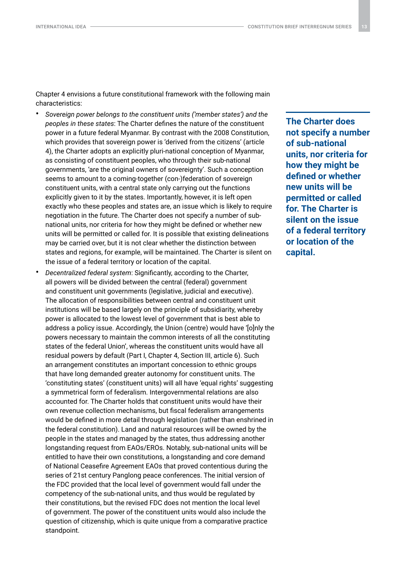Chapter 4 envisions a future constitutional framework with the following main characteristics:

- *Sovereign power belongs to the constituent units ('member states') and the peoples in these states*: The Charter defines the nature of the constituent power in a future federal Myanmar. By contrast with the 2008 Constitution, which provides that sovereign power is 'derived from the citizens' (article 4), the Charter adopts an explicitly pluri-national conception of Myanmar, as consisting of constituent peoples, who through their sub-national governments, 'are the original owners of sovereignty'. Such a conception seems to amount to a coming-together (con-)federation of sovereign constituent units, with a central state only carrying out the functions explicitly given to it by the states. Importantly, however, it is left open exactly who these peoples and states are, an issue which is likely to require negotiation in the future. The Charter does not specify a number of subnational units, nor criteria for how they might be defined or whether new units will be permitted or called for. It is possible that existing delineations may be carried over, but it is not clear whether the distinction between states and regions, for example, will be maintained. The Charter is silent on the issue of a federal territory or location of the capital.
- *Decentralized federal system*: Significantly, according to the Charter, all powers will be divided between the central (federal) government and constituent unit governments (legislative, judicial and executive). The allocation of responsibilities between central and constituent unit institutions will be based largely on the principle of subsidiarity, whereby power is allocated to the lowest level of government that is best able to address a policy issue. Accordingly, the Union (centre) would have '[o]nly the powers necessary to maintain the common interests of all the constituting states of the federal Union', whereas the constituent units would have all residual powers by default (Part I, Chapter 4, Section III, article 6). Such an arrangement constitutes an important concession to ethnic groups that have long demanded greater autonomy for constituent units. The 'constituting states' (constituent units) will all have 'equal rights' suggesting a symmetrical form of federalism. Intergovernmental relations are also accounted for. The Charter holds that constituent units would have their own revenue collection mechanisms, but fiscal federalism arrangements would be defined in more detail through legislation (rather than enshrined in the federal constitution). Land and natural resources will be owned by the people in the states and managed by the states, thus addressing another longstanding request from EAOs/EROs. Notably, sub-national units will be entitled to have their own constitutions, a longstanding and core demand of National Ceasefire Agreement EAOs that proved contentious during the series of 21st century Panglong peace conferences. The initial version of the FDC provided that the local level of government would fall under the competency of the sub-national units, and thus would be regulated by their constitutions, but the revised FDC does not mention the local level of government. The power of the constituent units would also include the question of citizenship, which is quite unique from a comparative practice standpoint.

**The Charter does not specify a number of sub-national units, nor criteria for how they might be defined or whether new units will be permitted or called for. The Charter is silent on the issue of a federal territory or location of the capital.**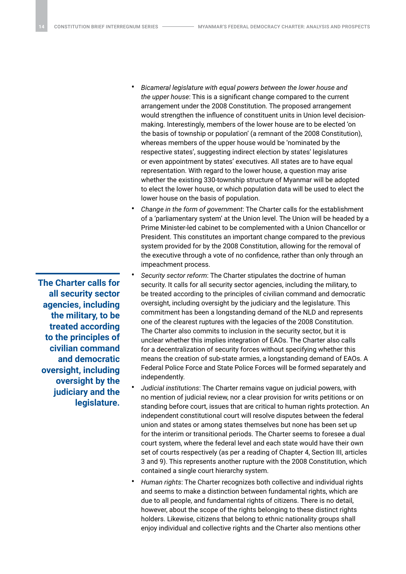- *Bicameral legislature with equal powers between the lower house and the upper house*: This is a significant change compared to the current arrangement under the 2008 Constitution. The proposed arrangement would strengthen the influence of constituent units in Union level decisionmaking. Interestingly, members of the lower house are to be elected 'on the basis of township or population' (a remnant of the 2008 Constitution), whereas members of the upper house would be 'nominated by the respective states', suggesting indirect election by states' legislatures or even appointment by states' executives. All states are to have equal representation. With regard to the lower house, a question may arise whether the existing 330-township structure of Myanmar will be adopted to elect the lower house, or which population data will be used to elect the lower house on the basis of population.
- *Change in the form of government*: The Charter calls for the establishment of a 'parliamentary system' at the Union level. The Union will be headed by a Prime Minister-led cabinet to be complemented with a Union Chancellor or President. This constitutes an important change compared to the previous system provided for by the 2008 Constitution, allowing for the removal of the executive through a vote of no confidence, rather than only through an impeachment process.
- *Security sector reform*: The Charter stipulates the doctrine of human security. It calls for all security sector agencies, including the military, to be treated according to the principles of civilian command and democratic oversight, including oversight by the judiciary and the legislature. This commitment has been a longstanding demand of the NLD and represents one of the clearest ruptures with the legacies of the 2008 Constitution. The Charter also commits to inclusion in the security sector, but it is unclear whether this implies integration of EAOs. The Charter also calls for a decentralization of security forces without specifying whether this means the creation of sub-state armies, a longstanding demand of EAOs. A Federal Police Force and State Police Forces will be formed separately and independently.
	- *Judicial institutions*: The Charter remains vague on judicial powers, with no mention of judicial review, nor a clear provision for writs petitions or on standing before court, issues that are critical to human rights protection. An independent constitutional court will resolve disputes between the federal union and states or among states themselves but none has been set up for the interim or transitional periods. The Charter seems to foresee a dual court system, where the federal level and each state would have their own set of courts respectively (as per a reading of Chapter 4, Section III, articles 3 and 9). This represents another rupture with the 2008 Constitution, which contained a single court hierarchy system.
- *Human rights*: The Charter recognizes both collective and individual rights and seems to make a distinction between fundamental rights, which are due to all people, and fundamental rights of citizens. There is no detail, however, about the scope of the rights belonging to these distinct rights holders. Likewise, citizens that belong to ethnic nationality groups shall enjoy individual and collective rights and the Charter also mentions other

**The Charter calls for all security sector agencies, including the military, to be treated according to the principles of civilian command and democratic oversight, including oversight by the judiciary and the legislature.**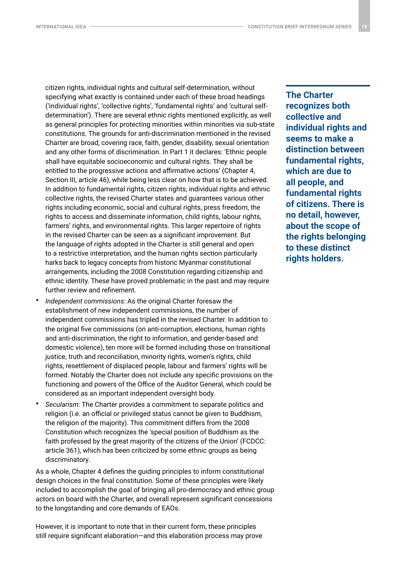citizen rights, individual rights and cultural self-determination, without specifying what exactly is contained under each of these broad headings ('individual rights', 'collective rights', 'fundamental rights' and 'cultural selfdetermination'). There are several ethnic rights mentioned explicitly, as well as general principles for protecting minorities within minorities via sub-state constitutions. The grounds for anti-discrimination mentioned in the revised Charter are broad, covering race, faith, gender, disability, sexual orientation and any other forms of discrimination. In Part 1 it declares: 'Ethnic people shall have equitable socioeconomic and cultural rights. They shall be entitled to the progressive actions and affirmative actions' (Chapter 4, Section III, article 46), while being less clear on how that is to be achieved. In addition to fundamental rights, citizen rights, individual rights and ethnic collective rights, the revised Charter states and guarantees various other rights including economic, social and cultural rights, press freedom, the rights to access and disseminate information, child rights, labour rights, farmers' rights, and environmental rights. This larger repertoire of rights in the revised Charter can be seen as a significant improvement. But the language of rights adopted in the Charter is still general and open to a restrictive interpretation, and the human rights section particularly harks back to legacy concepts from historic Myanmar constitutional arrangements, including the 2008 Constitution regarding citizenship and ethnic identity. These have proved problematic in the past and may require further review and refinement.

- *Independent commissions*: As the original Charter foresaw the establishment of new independent commissions, the number of independent commissions has tripled in the revised Charter. In addition to the original five commissions (on anti-corruption, elections, human rights and anti-discrimination, the right to information, and gender-based and domestic violence), ten more will be formed including those on transitional justice, truth and reconciliation, minority rights, women's rights, child rights, resettlement of displaced people, labour and farmers' rights will be formed. Notably the Charter does not include any specific provisions on the functioning and powers of the Office of the Auditor General, which could be considered as an important independent oversight body.
- *Secularism*: The Charter provides a commitment to separate politics and religion (i.e. an official or privileged status cannot be given to Buddhism, the religion of the majority). This commitment differs from the 2008 Constitution which recognizes the 'special position of Buddhism as the faith professed by the great majority of the citizens of the Union' (FCDCC: article 361), which has been criticized by some ethnic groups as being discriminatory.

As a whole, Chapter 4 defines the guiding principles to inform constitutional design choices in the final constitution. Some of these principles were likely included to accomplish the goal of bringing all pro-democracy and ethnic group actors on board with the Charter, and overall represent significant concessions to the longstanding and core demands of EAOs.

However, it is important to note that in their current form, these principles still require significant elaboration—and this elaboration process may prove **The Charter recognizes both collective and individual rights and seems to make a distinction between fundamental rights, which are due to all people, and fundamental rights of citizens. There is no detail, however, about the scope of the rights belonging to these distinct rights holders.**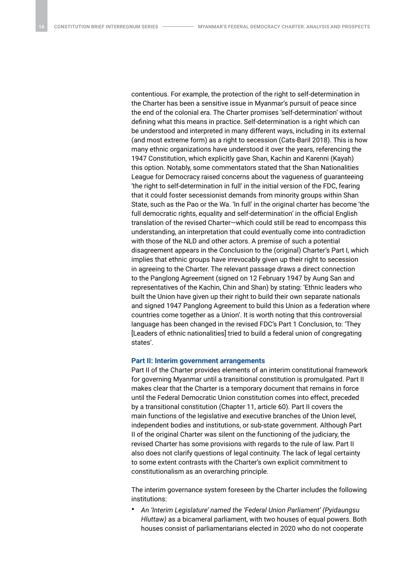contentious. For example, the protection of the right to self-determination in the Charter has been a sensitive issue in Myanmar's pursuit of peace since the end of the colonial era. The Charter promises 'self-determination' without defining what this means in practice. Self-determination is a right which can be understood and interpreted in many different ways, including in its external (and most extreme form) as a right to secession (Cats-Baril 2018). This is how many ethnic organizations have understood it over the years, referencing the 1947 Constitution, which explicitly gave Shan, Kachin and Karenni (Kayah) this option. Notably, some commentators stated that the Shan Nationalities League for Democracy raised concerns about the vagueness of guaranteeing 'the right to self-determination in full' in the initial version of the FDC, fearing that it could foster secessionist demands from minority groups within Shan State, such as the Pao or the Wa. 'In full' in the original charter has become 'the full democratic rights, equality and self-determination' in the official English translation of the revised Charter—which could still be read to encompass this understanding, an interpretation that could eventually come into contradiction with those of the NLD and other actors. A premise of such a potential disagreement appears in the Conclusion to the (original) Charter's Part I, which implies that ethnic groups have irrevocably given up their right to secession in agreeing to the Charter. The relevant passage draws a direct connection to the Panglong Agreement (signed on 12 February 1947 by Aung San and representatives of the Kachin, Chin and Shan) by stating: 'Ethnic leaders who built the Union have given up their right to build their own separate nationals and signed 1947 Panglong Agreement to build this Union as a federation where countries come together as a Union'. It is worth noting that this controversial language has been changed in the revised FDC's Part 1 Conclusion, to: 'They [Leaders of ethnic nationalities] tried to build a federal union of congregating states'.

#### **Part II: Interim government arrangements**

Part II of the Charter provides elements of an interim constitutional framework for governing Myanmar until a transitional constitution is promulgated. Part II makes clear that the Charter is a temporary document that remains in force until the Federal Democratic Union constitution comes into effect, preceded by a transitional constitution (Chapter 11, article 60). Part II covers the main functions of the legislative and executive branches of the Union level, independent bodies and institutions, or sub-state government. Although Part II of the original Charter was silent on the functioning of the judiciary, the revised Charter has some provisions with regards to the rule of law. Part II also does not clarify questions of legal continuity. The lack of legal certainty to some extent contrasts with the Charter's own explicit commitment to constitutionalism as an overarching principle.

The interim governance system foreseen by the Charter includes the following institutions:

• *An 'Interim Legislature' named the 'Federal Union Parliament' (Pyidaungsu Hluttaw)* as a bicameral parliament, with two houses of equal powers. Both houses consist of parliamentarians elected in 2020 who do not cooperate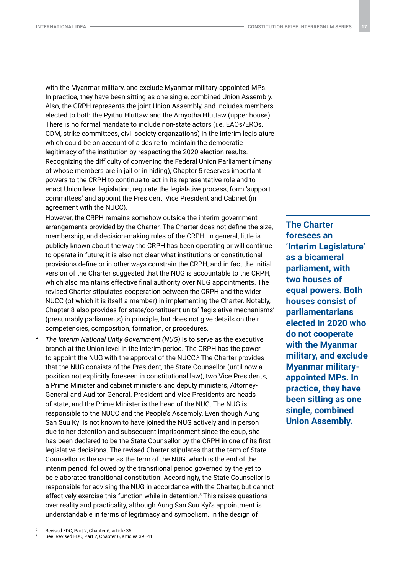with the Myanmar military, and exclude Myanmar military-appointed MPs. In practice, they have been sitting as one single, combined Union Assembly. Also, the CRPH represents the joint Union Assembly, and includes members elected to both the Pyithu Hluttaw and the Amyotha Hluttaw (upper house). There is no formal mandate to include non-state actors (i.e. EAOs/EROs, CDM, strike committees, civil society organzations) in the interim legislature which could be on account of a desire to maintain the democratic legitimacy of the institution by respecting the 2020 election results. Recognizing the difficulty of convening the Federal Union Parliament (many of whose members are in jail or in hiding), Chapter 5 reserves important powers to the CRPH to continue to act in its representative role and to enact Union level legislation, regulate the legislative process, form 'support committees' and appoint the President, Vice President and Cabinet (in agreement with the NUCC).

However, the CRPH remains somehow outside the interim government arrangements provided by the Charter. The Charter does not define the size, membership, and decision-making rules of the CRPH. In general, little is publicly known about the way the CRPH has been operating or will continue to operate in future; it is also not clear what institutions or constitutional provisions define or in other ways constrain the CRPH, and in fact the initial version of the Charter suggested that the NUG is accountable to the CRPH, which also maintains effective final authority over NUG appointments. The revised Charter stipulates cooperation between the CRPH and the wider NUCC (of which it is itself a member) in implementing the Charter. Notably, Chapter 8 also provides for state/constituent units' 'legislative mechanisms' (presumably parliaments) in principle, but does not give details on their competencies, composition, formation, or procedures.

• *The Interim National Unity Government (NUG)* is to serve as the executive branch at the Union level in the interim period. The CRPH has the power to appoint the NUG with the approval of the NUCC.<sup>2</sup> The Charter provides that the NUG consists of the President, the State Counsellor (until now a position not explicitly foreseen in constitutional law), two Vice Presidents, a Prime Minister and cabinet ministers and deputy ministers, Attorney-General and Auditor-General. President and Vice Presidents are heads of state, and the Prime Minister is the head of the NUG. The NUG is responsible to the NUCC and the People's Assembly. Even though Aung San Suu Kyi is not known to have joined the NUG actively and in person due to her detention and subsequent imprisonment since the coup, she has been declared to be the State Counsellor by the CRPH in one of its first legislative decisions. The revised Charter stipulates that the term of State Counsellor is the same as the term of the NUG, which is the end of the interim period, followed by the transitional period governed by the yet to be elaborated transitional constitution. Accordingly, the State Counsellor is responsible for advising the NUG in accordance with the Charter, but cannot effectively exercise this function while in detention. $3$  This raises questions over reality and practicality, although Aung San Suu Kyi's appointment is understandable in terms of legitimacy and symbolism. In the design of

**The Charter foresees an 'Interim Legislature' as a bicameral parliament, with two houses of equal powers. Both houses consist of parliamentarians elected in 2020 who do not cooperate with the Myanmar military, and exclude Myanmar militaryappointed MPs. In practice, they have been sitting as one single, combined Union Assembly.**

<sup>3</sup> See: Revised FDC, Part 2, Chapter 6, articles 39–41.

<sup>2</sup> Revised FDC, Part 2, Chapter 6, article 35.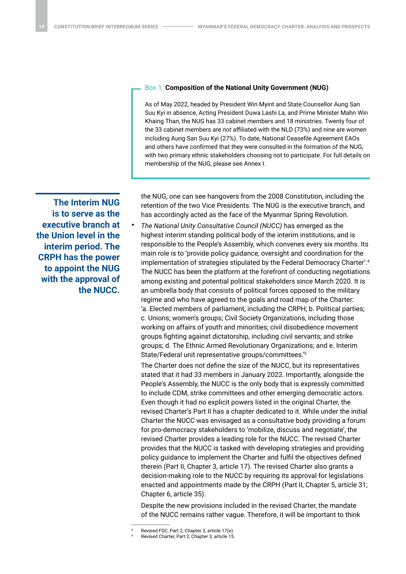**The Interim NUG is to serve as the executive branch at the Union level in the interim period. The CRPH has the power to appoint the NUG with the approval of the NUCC.**

## Box 1. **Composition of the National Unity Government (NUG)**

As of May 2022, headed by President Win Myint and State Counsellor Aung San Suu Kyi in absence, Acting President Duwa Lashi La, and Prime Minister Mahn Win Khaing Than, the NUG has 33 cabinet members and 18 ministries. Twenty four of the 33 cabinet members are *not* affiliated with the NLD (73%) and nine are women including Aung San Suu Kyi (27%). To date, National Ceasefile Agreement EAOs and others have confirmed that they were consulted in the formation of the NUG, with two primary ethnic stakeholders choosing not to participate. For full details on membership of the NUG, please see Annex I.

the NUG, one can see hangovers from the 2008 Constitution, including the retention of the two Vice Presidents. The NUG is the executive branch, and has accordingly acted as the face of the Myanmar Spring Revolution.

• *The National Unity Consultative Council (NUCC)* has emerged as the highest interim standing political body of the interim institutions, and is responsible to the People's Assembly, which convenes every six months. Its main role is to 'provide policy guidance, oversight and coordination for the implementation of strategies stipulated by the Federal Democracy Charter'.4 The NUCC has been the platform at the forefront of conducting negotiations among existing and potential political stakeholders since March 2020. It is an umbrella body that consists of political forces opposed to the military regime and who have agreed to the goals and road map of the Charter: 'a. Elected members of parliament, including the CRPH; b. Political parties; c. Unions; women's groups; Civil Society Organizations, including those working on affairs of youth and minorities; civil disobedience movement groups fighting against dictatorship, including civil servants; and strike groups; d. The Ethnic Armed Revolutionary Organizations; and e. Interim State/Federal unit representative groups/committees.'5

The Charter does not define the size of the NUCC, but its representatives stated that it had 33 members in January 2022. Importantly, alongside the People's Assembly, the NUCC is the only body that is expressly committed to include CDM, strike committees and other emerging democratic actors. Even though it had no explicit powers listed in the original Charter, the revised Charter's Part II has a chapter dedicated to it. While under the initial Charter the NUCC was envisaged as a consultative body providing a forum for pro-democracy stakeholders to 'mobilize, discuss and negotiate', the revised Charter provides a leading role for the NUCC. The revised Charter provides that the NUCC is tasked with developing strategies and providing policy guidance to implement the Charter and fulfil the objectives defined therein (Part II, Chapter 3, article 17). The revised Charter also grants a decision-making role to the NUCC by requiring its approval for legislations enacted and appointments made by the CRPH (Part II, Chapter 5, article 31; Chapter 6, article 35).

Despite the new provisions included in the revised Charter, the mandate of the NUCC remains rather vague. Therefore, it will be important to think

<sup>4</sup> Revised FDC, Part 2, Chapter 3, article 17(e).

<sup>5</sup> Revised Charter, Part 2, Chapter 3, article 15.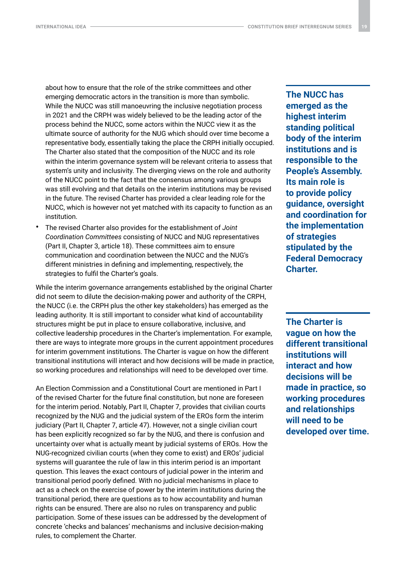about how to ensure that the role of the strike committees and other emerging democratic actors in the transition is more than symbolic. While the NUCC was still manoeuvring the inclusive negotiation process in 2021 and the CRPH was widely believed to be the leading actor of the process behind the NUCC, some actors within the NUCC view it as the ultimate source of authority for the NUG which should over time become a representative body, essentially taking the place the CRPH initially occupied. The Charter also stated that the composition of the NUCC and its role within the interim governance system will be relevant criteria to assess that system's unity and inclusivity. The diverging views on the role and authority of the NUCC point to the fact that the consensus among various groups was still evolving and that details on the interim institutions may be revised in the future. The revised Charter has provided a clear leading role for the NUCC, which is however not yet matched with its capacity to function as an institution.

• The revised Charter also provides for the establishment of *Joint Coordination Committees* consisting of NUCC and NUG representatives (Part II, Chapter 3, article 18). These committees aim to ensure communication and coordination between the NUCC and the NUG's different ministries in defining and implementing, respectively, the strategies to fulfil the Charter's goals.

While the interim governance arrangements established by the original Charter did not seem to dilute the decision-making power and authority of the CRPH, the NUCC (i.e. the CRPH plus the other key stakeholders) has emerged as the leading authority. It is still important to consider what kind of accountability structures might be put in place to ensure collaborative, inclusive, and collective leadership procedures in the Charter's implementation. For example, there are ways to integrate more groups in the current appointment procedures for interim government institutions. The Charter is vague on how the different transitional institutions will interact and how decisions will be made in practice, so working procedures and relationships will need to be developed over time.

An Election Commission and a Constitutional Court are mentioned in Part I of the revised Charter for the future final constitution, but none are foreseen for the interim period. Notably, Part II, Chapter 7, provides that civilian courts recognized by the NUG and the judicial system of the EROs form the interim judiciary (Part II, Chapter 7, article 47). However, not a single civilian court has been explicitly recognized so far by the NUG, and there is confusion and uncertainty over what is actually meant by judicial systems of EROs. How the NUG-recognized civilian courts (when they come to exist) and EROs' judicial systems will guarantee the rule of law in this interim period is an important question. This leaves the exact contours of judicial power in the interim and transitional period poorly defined. With no judicial mechanisms in place to act as a check on the exercise of power by the interim institutions during the transitional period, there are questions as to how accountability and human rights can be ensured. There are also no rules on transparency and public participation. Some of these issues can be addressed by the development of concrete 'checks and balances' mechanisms and inclusive decision-making rules, to complement the Charter.

**The NUCC has emerged as the highest interim standing political body of the interim institutions and is responsible to the People's Assembly. Its main role is to provide policy guidance, oversight and coordination for the implementation of strategies stipulated by the Federal Democracy Charter.**

**The Charter is vague on how the different transitional institutions will interact and how decisions will be made in practice, so working procedures and relationships will need to be developed over time.**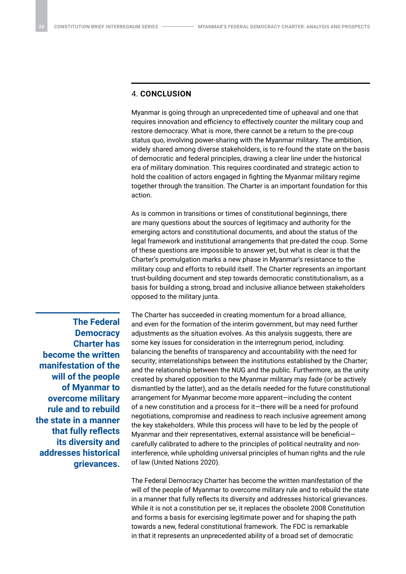## 4. **CONCLUSION**

Myanmar is going through an unprecedented time of upheaval and one that requires innovation and efficiency to effectively counter the military coup and restore democracy. What is more, there cannot be a return to the pre-coup status quo, involving power-sharing with the Myanmar military. The ambition, widely shared among diverse stakeholders, is to re-found the state on the basis of democratic and federal principles, drawing a clear line under the historical era of military domination. This requires coordinated and strategic action to hold the coalition of actors engaged in fighting the Myanmar military regime together through the transition. The Charter is an important foundation for this action.

As is common in transitions or times of constitutional beginnings, there are many questions about the sources of legitimacy and authority for the emerging actors and constitutional documents, and about the status of the legal framework and institutional arrangements that pre-dated the coup. Some of these questions are impossible to answer yet, but what is clear is that the Charter's promulgation marks a new phase in Myanmar's resistance to the military coup and efforts to rebuild itself. The Charter represents an important trust-building document and step towards democratic constitutionalism, as a basis for building a strong, broad and inclusive alliance between stakeholders opposed to the military junta.

**The Federal Democracy Charter has become the written manifestation of the will of the people of Myanmar to overcome military rule and to rebuild the state in a manner that fully reflects its diversity and addresses historical grievances.** The Charter has succeeded in creating momentum for a broad alliance, and even for the formation of the interim government, but may need further adjustments as the situation evolves. As this analysis suggests, there are some key issues for consideration in the interregnum period, including: balancing the benefits of transparency and accountability with the need for security; interrelationships between the institutions established by the Charter; and the relationship between the NUG and the public. Furthermore, as the unity created by shared opposition to the Myanmar military may fade (or be actively dismantled by the latter), and as the details needed for the future constitutional arrangement for Myanmar become more apparent—including the content of a new constitution and a process for it—there will be a need for profound negotiations, compromise and readiness to reach inclusive agreement among the key stakeholders. While this process will have to be led by the people of Myanmar and their representatives, external assistance will be beneficial carefully calibrated to adhere to the principles of political neutrality and noninterference, while upholding universal principles of human rights and the rule of law (United Nations 2020).

The Federal Democracy Charter has become the written manifestation of the will of the people of Myanmar to overcome military rule and to rebuild the state in a manner that fully reflects its diversity and addresses historical grievances. While it is not a constitution per se, it replaces the obsolete 2008 Constitution and forms a basis for exercising legitimate power and for shaping the path towards a new, federal constitutional framework. The FDC is remarkable in that it represents an unprecedented ability of a broad set of democratic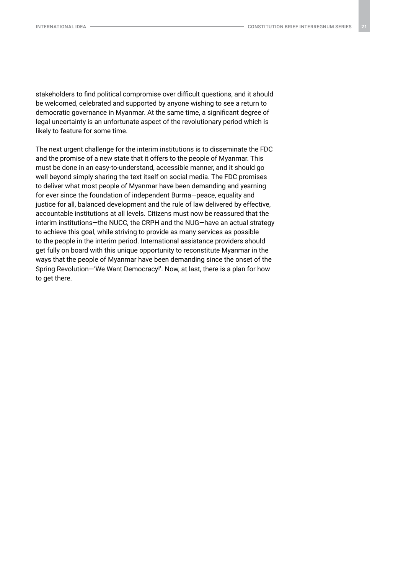stakeholders to find political compromise over difficult questions, and it should be welcomed, celebrated and supported by anyone wishing to see a return to democratic governance in Myanmar. At the same time, a significant degree of legal uncertainty is an unfortunate aspect of the revolutionary period which is likely to feature for some time.

The next urgent challenge for the interim institutions is to disseminate the FDC and the promise of a new state that it offers to the people of Myanmar. This must be done in an easy-to-understand, accessible manner, and it should go well beyond simply sharing the text itself on social media. The FDC promises to deliver what most people of Myanmar have been demanding and yearning for ever since the foundation of independent Burma—peace, equality and justice for all, balanced development and the rule of law delivered by effective, accountable institutions at all levels. Citizens must now be reassured that the interim institutions—the NUCC, the CRPH and the NUG—have an actual strategy to achieve this goal, while striving to provide as many services as possible to the people in the interim period. International assistance providers should get fully on board with this unique opportunity to reconstitute Myanmar in the ways that the people of Myanmar have been demanding since the onset of the Spring Revolution—'We Want Democracy!'. Now, at last, there is a plan for how to get there.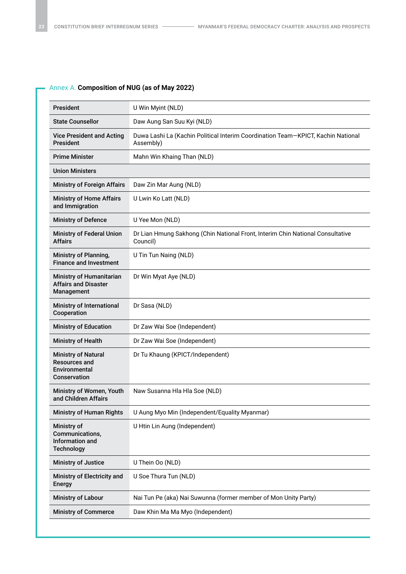## Annex A. **Composition of NUG (as of May 2022)**

| <b>President</b>                                                                    | U Win Myint (NLD)                                                                             |
|-------------------------------------------------------------------------------------|-----------------------------------------------------------------------------------------------|
| <b>State Counsellor</b>                                                             | Daw Aung San Suu Kyi (NLD)                                                                    |
| <b>Vice President and Acting</b><br><b>President</b>                                | Duwa Lashi La (Kachin Political Interim Coordination Team-KPICT, Kachin National<br>Assembly) |
| <b>Prime Minister</b>                                                               | Mahn Win Khaing Than (NLD)                                                                    |
| <b>Union Ministers</b>                                                              |                                                                                               |
| <b>Ministry of Foreign Affairs</b>                                                  | Daw Zin Mar Aung (NLD)                                                                        |
| <b>Ministry of Home Affairs</b><br>and Immigration                                  | U Lwin Ko Latt (NLD)                                                                          |
| <b>Ministry of Defence</b>                                                          | U Yee Mon (NLD)                                                                               |
| <b>Ministry of Federal Union</b><br><b>Affairs</b>                                  | Dr Lian Hmung Sakhong (Chin National Front, Interim Chin National Consultative<br>Council)    |
| Ministry of Planning,<br><b>Finance and Investment</b>                              | U Tin Tun Naing (NLD)                                                                         |
| <b>Ministry of Humanitarian</b><br><b>Affairs and Disaster</b><br>Management        | Dr Win Myat Aye (NLD)                                                                         |
| Ministry of International<br>Cooperation                                            | Dr Sasa (NLD)                                                                                 |
| <b>Ministry of Education</b>                                                        | Dr Zaw Wai Soe (Independent)                                                                  |
| <b>Ministry of Health</b>                                                           | Dr Zaw Wai Soe (Independent)                                                                  |
| <b>Ministry of Natural</b><br><b>Resources and</b><br>Environmental<br>Conservation | Dr Tu Khaung (KPICT/Independent)                                                              |
| Ministry of Women, Youth<br>and Children Affairs                                    | Naw Susanna Hla Hla Soe (NLD)                                                                 |
| <b>Ministry of Human Rights</b>                                                     | U Aung Myo Min (Independent/Equality Myanmar)                                                 |
| Ministry of<br>Communications,<br>Information and<br><b>Technology</b>              | U Htin Lin Aung (Independent)                                                                 |
| <b>Ministry of Justice</b>                                                          | U Thein Oo (NLD)                                                                              |
| Ministry of Electricity and<br><b>Energy</b>                                        | U Soe Thura Tun (NLD)                                                                         |
| <b>Ministry of Labour</b>                                                           | Nai Tun Pe (aka) Nai Suwunna (former member of Mon Unity Party)                               |
| <b>Ministry of Commerce</b>                                                         | Daw Khin Ma Ma Myo (Independent)                                                              |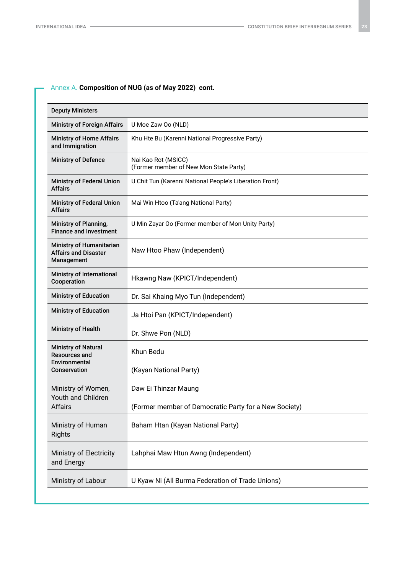## Annex A. **Composition of NUG (as of May 2022) cont.**

| <b>Deputy Ministers</b>                                               |                                                               |
|-----------------------------------------------------------------------|---------------------------------------------------------------|
| <b>Ministry of Foreign Affairs</b>                                    | U Moe Zaw Oo (NLD)                                            |
| <b>Ministry of Home Affairs</b><br>and Immigration                    | Khu Hte Bu (Karenni National Progressive Party)               |
| <b>Ministry of Defence</b>                                            | Nai Kao Rot (MSICC)<br>(Former member of New Mon State Party) |
| <b>Ministry of Federal Union</b><br><b>Affairs</b>                    | U Chit Tun (Karenni National People's Liberation Front)       |
| <b>Ministry of Federal Union</b><br><b>Affairs</b>                    | Mai Win Htoo (Ta'ang National Party)                          |
| Ministry of Planning,<br><b>Finance and Investment</b>                | U Min Zayar Oo (Former member of Mon Unity Party)             |
| Ministry of Humanitarian<br><b>Affairs and Disaster</b><br>Management | Naw Htoo Phaw (Independent)                                   |
| Ministry of International<br>Cooperation                              | Hkawng Naw (KPICT/Independent)                                |
| <b>Ministry of Education</b>                                          | Dr. Sai Khaing Myo Tun (Independent)                          |
| <b>Ministry of Education</b>                                          | Ja Htoi Pan (KPICT/Independent)                               |
| <b>Ministry of Health</b>                                             | Dr. Shwe Pon (NLD)                                            |
| <b>Ministry of Natural</b><br><b>Resources and</b><br>Environmental   | Khun Bedu                                                     |
| Conservation                                                          | (Kayan National Party)                                        |
| Ministry of Women,<br>Youth and Children<br>Affairs                   | Daw Ei Thinzar Maung                                          |
|                                                                       | (Former member of Democratic Party for a New Society)         |
| Ministry of Human<br>Rights                                           | Baham Htan (Kayan National Party)                             |
| Ministry of Electricity<br>and Energy                                 | Lahphai Maw Htun Awng (Independent)                           |
| Ministry of Labour                                                    | U Kyaw Ni (All Burma Federation of Trade Unions)              |
|                                                                       |                                                               |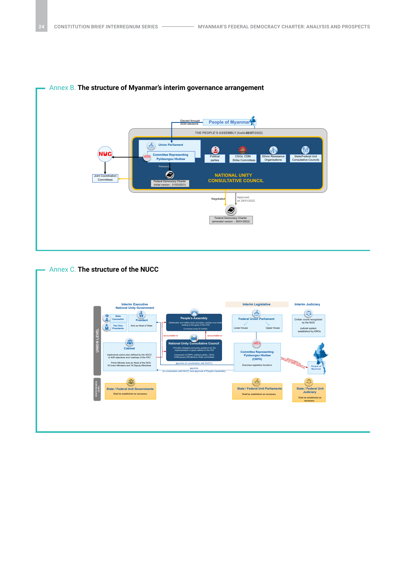

## Annex B. **The structure of Myanmar's interim governance arrangement**



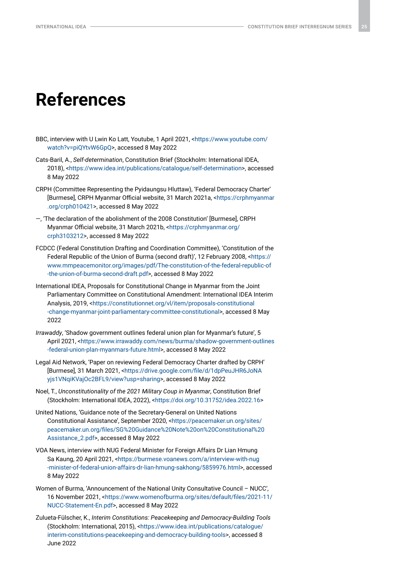## **References**

- BBC, interview with U Lwin Ko Latt, Youtube, 1 April 2021, <[https://www.youtube.com/](https://www.youtube.com/watch?v=piQYtvW6GpQ) [watch?v=piQYtvW6GpQ](https://www.youtube.com/watch?v=piQYtvW6GpQ)>, accessed 8 May 2022
- Cats-Baril, A., *Self-determination*, Constitution Brief (Stockholm: International IDEA, 2018), [<https://www.idea.int/publications/catalogue/self-determination>](https://www.idea.int/publications/catalogue/self-determination), accessed 8 May 2022
- CRPH (Committee Representing the Pyidaungsu Hluttaw), 'Federal Democracy Charter' [Burmese], CRPH Myanmar Official website, 31 March 2021a, <[https://crphmyanmar](https://crphmyanmar.org/crph010421) [.org/crph010421>](https://crphmyanmar.org/crph010421), accessed 8 May 2022
- —, 'The declaration of the abolishment of the 2008 Constitution' [Burmese], CRPH Myanmar Official website, 31 March 2021b, <[https://crphmyanmar.org/](https://crphmyanmar.org/crph3103212) [crph3103212>](https://crphmyanmar.org/crph3103212), accessed 8 May 2022
- FCDCC (Federal Constitution Drafting and Coordination Committee), 'Constitution of the Federal Republic of the Union of Burma (second draft)', 12 February 2008, [<https://](https://www.mmpeacemonitor.org/images/pdf/The-constitution-of-the-federal-republic-of-the-union-of-burma-second-draft.pdf) [www.mmpeacemonitor.org/images/pdf/The-constitution-of-the-federal-republic-of](https://www.mmpeacemonitor.org/images/pdf/The-constitution-of-the-federal-republic-of-the-union-of-burma-second-draft.pdf) [-the-union-of-burma-second-draft.pdf](https://www.mmpeacemonitor.org/images/pdf/The-constitution-of-the-federal-republic-of-the-union-of-burma-second-draft.pdf)>, accessed 8 May 2022
- International IDEA, Proposals for Constitutional Change in Myanmar from the Joint Parliamentary Committee on Constitutional Amendment: International IDEA Interim Analysis, 2019, <[https://constitutionnet.org/vl/item/proposals-constitutional](https://constitutionnet.org/vl/item/proposals-constitutional-change-myanmar-joint-parliamentary-committee-constitutional) [-change-myanmar-joint-parliamentary-committee-constitutional>](https://constitutionnet.org/vl/item/proposals-constitutional-change-myanmar-joint-parliamentary-committee-constitutional), accessed 8 May 2022
- *Irrawaddy*, 'Shadow government outlines federal union plan for Myanmar's future', 5 April 2021, <[https://www.irrawaddy.com/news/burma/shadow-government-outlines](https://www.irrawaddy.com/news/burma/shadow-government-outlines-federal-union-plan-myanmars-future.html) [-federal-union-plan-myanmars-future.html](https://www.irrawaddy.com/news/burma/shadow-government-outlines-federal-union-plan-myanmars-future.html)>, accessed 8 May 2022
- Legal Aid Network, 'Paper on reviewing Federal Democracy Charter drafted by CRPH' [Burmese], 31 March 2021, <[https://drive.google.com/file/d/1dpPeuJHR6JoNA](https://drive.google.com/file/d/1dpPeuJHR6JoNAyjs1VNqiKVajOc2BFL9/view?usp=sharing) [yjs1VNqiKVajOc2BFL9/view?usp=sharing](https://drive.google.com/file/d/1dpPeuJHR6JoNAyjs1VNqiKVajOc2BFL9/view?usp=sharing)>, accessed 8 May 2022
- Noel, T., *Unconstitutionality of the 2021 Military Coup in Myanmar*, Constitution Brief (Stockholm: International IDEA, 2022), [<https://doi.org/10.31752/idea.2022.16>](https://doi.org/10.31752/idea.2022.16)
- United Nations, 'Guidance note of the Secretary-General on United Nations Constitutional Assistance', September 2020, <[https://peacemaker.un.org/sites/](https://peacemaker.un.org/sites/peacemaker.un.org/files/SG%20Guidance%20Note%20on%20Constitutional%20Assistance_2.pdf) [peacemaker.un.org/files/SG%20Guidance%20Note%20on%20Constitutional%20](https://peacemaker.un.org/sites/peacemaker.un.org/files/SG%20Guidance%20Note%20on%20Constitutional%20Assistance_2.pdf) [Assistance\\_2.pdf](https://peacemaker.un.org/sites/peacemaker.un.org/files/SG%20Guidance%20Note%20on%20Constitutional%20Assistance_2.pdf)>, accessed 8 May 2022
- VOA News, interview with NUG Federal Minister for Foreign Affairs Dr Lian Hmung Sa Kaung, 20 April 2021, [<https://burmese.voanews.com/a/interview-with-nug](https://burmese.voanews.com/a/interview-with-nug-minister-of-federal-union-affairs-dr-lian-hmung-sakhong/5859976.html) [-minister-of-federal-union-affairs-dr-lian-hmung-sakhong/5859976.html](https://burmese.voanews.com/a/interview-with-nug-minister-of-federal-union-affairs-dr-lian-hmung-sakhong/5859976.html)>, accessed 8 May 2022
- Women of Burma, 'Announcement of the National Unity Consultative Council NUCC', 16 November 2021, <[https://www.womenofburma.org/sites/default/files/2021-11/](https://www.womenofburma.org/sites/default/files/2021-11/NUCC-Statement-En.pdf) [NUCC-Statement-En.pdf>](https://www.womenofburma.org/sites/default/files/2021-11/NUCC-Statement-En.pdf), accessed 8 May 2022
- Zulueta-Fülscher, K., *Interim Constitutions: Peacekeeping and Democracy-Building Tools* (Stockholm: International, 2015), <[https://www.idea.int/publications/catalogue/](https://www.idea.int/publications/catalogue/interim-constitutions-peacekeeping-and-democracy-building-tools) [interim-constitutions-peacekeeping-and-democracy-building-tools>](https://www.idea.int/publications/catalogue/interim-constitutions-peacekeeping-and-democracy-building-tools), accessed 8 June 2022